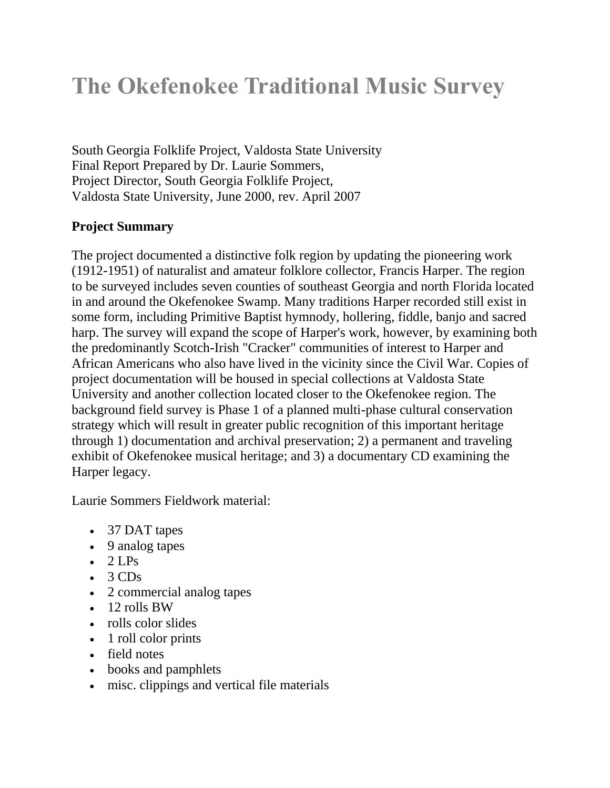# **The Okefenokee Traditional Music Survey**

South Georgia Folklife Project, Valdosta State University Final Report Prepared by Dr. Laurie Sommers, Project Director, South Georgia Folklife Project, Valdosta State University, June 2000, rev. April 2007

## **Project Summary**

The project documented a distinctive folk region by updating the pioneering work (1912-1951) of naturalist and amateur folklore collector, Francis Harper. The region to be surveyed includes seven counties of southeast Georgia and north Florida located in and around the Okefenokee Swamp. Many traditions Harper recorded still exist in some form, including Primitive Baptist hymnody, hollering, fiddle, banjo and sacred harp. The survey will expand the scope of Harper's work, however, by examining both the predominantly Scotch-Irish "Cracker" communities of interest to Harper and African Americans who also have lived in the vicinity since the Civil War. Copies of project documentation will be housed in special collections at Valdosta State University and another collection located closer to the Okefenokee region. The background field survey is Phase 1 of a planned multi-phase cultural conservation strategy which will result in greater public recognition of this important heritage through 1) documentation and archival preservation; 2) a permanent and traveling exhibit of Okefenokee musical heritage; and 3) a documentary CD examining the Harper legacy.

Laurie Sommers Fieldwork material:

- 37 DAT tapes
- 9 analog tapes
- $\bullet$  2 LPs
- $\bullet$  3 CDs
- 2 commercial analog tapes
- $\bullet$  12 rolls BW
- rolls color slides
- 1 roll color prints
- field notes
- books and pamphlets
- misc. clippings and vertical file materials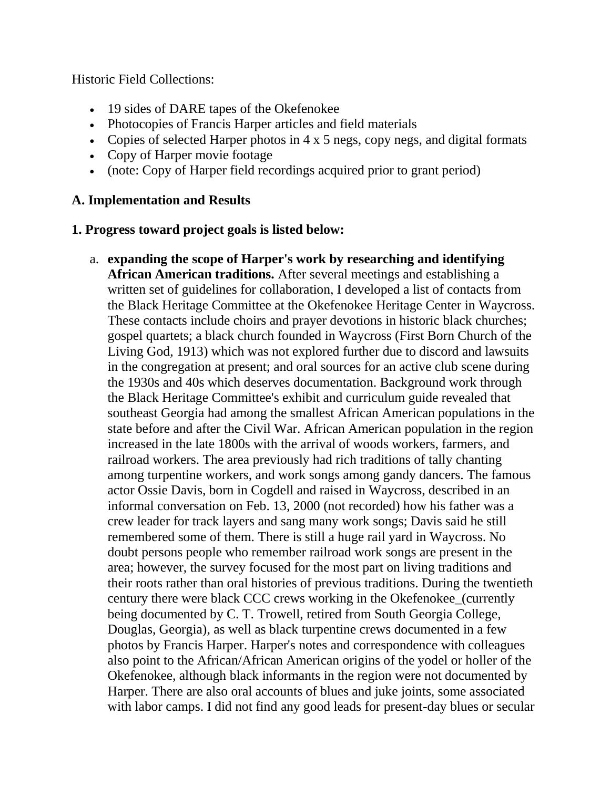Historic Field Collections:

- 19 sides of DARE tapes of the Okefenokee
- Photocopies of Francis Harper articles and field materials
- Copies of selected Harper photos in 4 x 5 negs, copy negs, and digital formats
- Copy of Harper movie footage
- (note: Copy of Harper field recordings acquired prior to grant period)

## **A. Implementation and Results**

## **1. Progress toward project goals is listed below:**

a. **expanding the scope of Harper's work by researching and identifying African American traditions.** After several meetings and establishing a written set of guidelines for collaboration, I developed a list of contacts from the Black Heritage Committee at the Okefenokee Heritage Center in Waycross. These contacts include choirs and prayer devotions in historic black churches; gospel quartets; a black church founded in Waycross (First Born Church of the Living God, 1913) which was not explored further due to discord and lawsuits in the congregation at present; and oral sources for an active club scene during the 1930s and 40s which deserves documentation. Background work through the Black Heritage Committee's exhibit and curriculum guide revealed that southeast Georgia had among the smallest African American populations in the state before and after the Civil War. African American population in the region increased in the late 1800s with the arrival of woods workers, farmers, and railroad workers. The area previously had rich traditions of tally chanting among turpentine workers, and work songs among gandy dancers. The famous actor Ossie Davis, born in Cogdell and raised in Waycross, described in an informal conversation on Feb. 13, 2000 (not recorded) how his father was a crew leader for track layers and sang many work songs; Davis said he still remembered some of them. There is still a huge rail yard in Waycross. No doubt persons people who remember railroad work songs are present in the area; however, the survey focused for the most part on living traditions and their roots rather than oral histories of previous traditions. During the twentieth century there were black CCC crews working in the Okefenokee\_(currently being documented by C. T. Trowell, retired from South Georgia College, Douglas, Georgia), as well as black turpentine crews documented in a few photos by Francis Harper. Harper's notes and correspondence with colleagues also point to the African/African American origins of the yodel or holler of the Okefenokee, although black informants in the region were not documented by Harper. There are also oral accounts of blues and juke joints, some associated with labor camps. I did not find any good leads for present-day blues or secular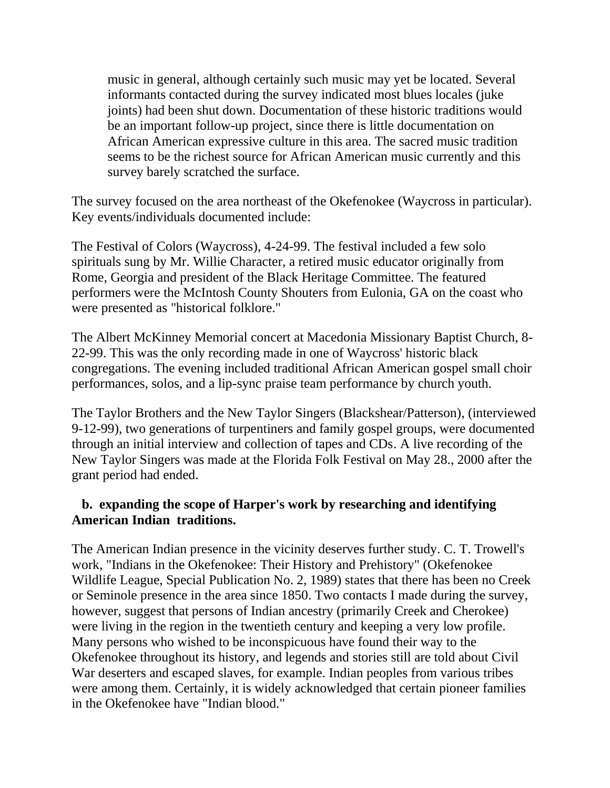music in general, although certainly such music may yet be located. Several informants contacted during the survey indicated most blues locales (juke joints) had been shut down. Documentation of these historic traditions would be an important follow-up project, since there is little documentation on African American expressive culture in this area. The sacred music tradition seems to be the richest source for African American music currently and this survey barely scratched the surface.

The survey focused on the area northeast of the Okefenokee (Waycross in particular). Key events/individuals documented include:

The Festival of Colors (Waycross), 4-24-99. The festival included a few solo spirituals sung by Mr. Willie Character, a retired music educator originally from Rome, Georgia and president of the Black Heritage Committee. The featured performers were the McIntosh County Shouters from Eulonia, GA on the coast who were presented as "historical folklore."

The Albert McKinney Memorial concert at Macedonia Missionary Baptist Church, 8- 22-99. This was the only recording made in one of Waycross' historic black congregations. The evening included traditional African American gospel small choir performances, solos, and a lip-sync praise team performance by church youth.

The Taylor Brothers and the New Taylor Singers (Blackshear/Patterson), (interviewed 9-12-99), two generations of turpentiners and family gospel groups, were documented through an initial interview and collection of tapes and CDs. A live recording of the New Taylor Singers was made at the Florida Folk Festival on May 28., 2000 after the grant period had ended.

## **b. expanding the scope of Harper's work by researching and identifying American Indian traditions.**

The American Indian presence in the vicinity deserves further study. C. T. Trowell's work, "Indians in the Okefenokee: Their History and Prehistory" (Okefenokee Wildlife League, Special Publication No. 2, 1989) states that there has been no Creek or Seminole presence in the area since 1850. Two contacts I made during the survey, however, suggest that persons of Indian ancestry (primarily Creek and Cherokee) were living in the region in the twentieth century and keeping a very low profile. Many persons who wished to be inconspicuous have found their way to the Okefenokee throughout its history, and legends and stories still are told about Civil War deserters and escaped slaves, for example. Indian peoples from various tribes were among them. Certainly, it is widely acknowledged that certain pioneer families in the Okefenokee have "Indian blood."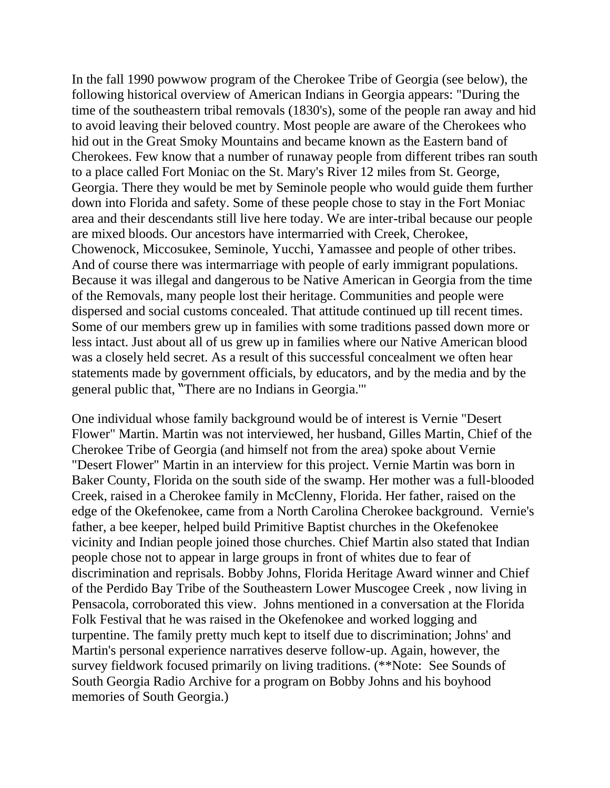In the fall 1990 powwow program of the Cherokee Tribe of Georgia (see below), the following historical overview of American Indians in Georgia appears: "During the time of the southeastern tribal removals (1830's), some of the people ran away and hid to avoid leaving their beloved country. Most people are aware of the Cherokees who hid out in the Great Smoky Mountains and became known as the Eastern band of Cherokees. Few know that a number of runaway people from different tribes ran south to a place called Fort Moniac on the St. Mary's River 12 miles from St. George, Georgia. There they would be met by Seminole people who would guide them further down into Florida and safety. Some of these people chose to stay in the Fort Moniac area and their descendants still live here today. We are inter-tribal because our people are mixed bloods. Our ancestors have intermarried with Creek, Cherokee, Chowenock, Miccosukee, Seminole, Yucchi, Yamassee and people of other tribes. And of course there was intermarriage with people of early immigrant populations. Because it was illegal and dangerous to be Native American in Georgia from the time of the Removals, many people lost their heritage. Communities and people were dispersed and social customs concealed. That attitude continued up till recent times. Some of our members grew up in families with some traditions passed down more or less intact. Just about all of us grew up in families where our Native American blood was a closely held secret. As a result of this successful concealment we often hear statements made by government officials, by educators, and by the media and by the general public that, "There are no Indians in Georgia.'"

One individual whose family background would be of interest is Vernie "Desert Flower" Martin. Martin was not interviewed, her husband, Gilles Martin, Chief of the Cherokee Tribe of Georgia (and himself not from the area) spoke about Vernie "Desert Flower" Martin in an interview for this project. Vernie Martin was born in Baker County, Florida on the south side of the swamp. Her mother was a full-blooded Creek, raised in a Cherokee family in McClenny, Florida. Her father, raised on the edge of the Okefenokee, came from a North Carolina Cherokee background. Vernie's father, a bee keeper, helped build Primitive Baptist churches in the Okefenokee vicinity and Indian people joined those churches. Chief Martin also stated that Indian people chose not to appear in large groups in front of whites due to fear of discrimination and reprisals. Bobby Johns, Florida Heritage Award winner and Chief of the Perdido Bay Tribe of the Southeastern Lower Muscogee Creek , now living in Pensacola, corroborated this view. Johns mentioned in a conversation at the Florida Folk Festival that he was raised in the Okefenokee and worked logging and turpentine. The family pretty much kept to itself due to discrimination; Johns' and Martin's personal experience narratives deserve follow-up. Again, however, the survey fieldwork focused primarily on living traditions. (\*\*Note: See Sounds of South Georgia Radio Archive for a program on Bobby Johns and his boyhood memories of South Georgia.)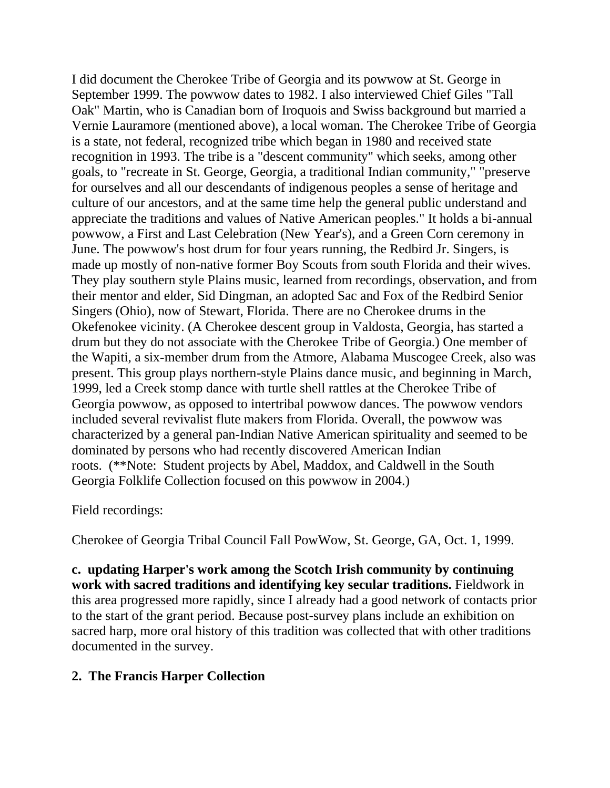I did document the Cherokee Tribe of Georgia and its powwow at St. George in September 1999. The powwow dates to 1982. I also interviewed Chief Giles "Tall Oak" Martin, who is Canadian born of Iroquois and Swiss background but married a Vernie Lauramore (mentioned above), a local woman. The Cherokee Tribe of Georgia is a state, not federal, recognized tribe which began in 1980 and received state recognition in 1993. The tribe is a "descent community" which seeks, among other goals, to "recreate in St. George, Georgia, a traditional Indian community," "preserve for ourselves and all our descendants of indigenous peoples a sense of heritage and culture of our ancestors, and at the same time help the general public understand and appreciate the traditions and values of Native American peoples." It holds a bi-annual powwow, a First and Last Celebration (New Year's), and a Green Corn ceremony in June. The powwow's host drum for four years running, the Redbird Jr. Singers, is made up mostly of non-native former Boy Scouts from south Florida and their wives. They play southern style Plains music, learned from recordings, observation, and from their mentor and elder, Sid Dingman, an adopted Sac and Fox of the Redbird Senior Singers (Ohio), now of Stewart, Florida. There are no Cherokee drums in the Okefenokee vicinity. (A Cherokee descent group in Valdosta, Georgia, has started a drum but they do not associate with the Cherokee Tribe of Georgia.) One member of the Wapiti, a six-member drum from the Atmore, Alabama Muscogee Creek, also was present. This group plays northern-style Plains dance music, and beginning in March, 1999, led a Creek stomp dance with turtle shell rattles at the Cherokee Tribe of Georgia powwow, as opposed to intertribal powwow dances. The powwow vendors included several revivalist flute makers from Florida. Overall, the powwow was characterized by a general pan-Indian Native American spirituality and seemed to be dominated by persons who had recently discovered American Indian roots. (\*\*Note: Student projects by Abel, Maddox, and Caldwell in the South Georgia Folklife Collection focused on this powwow in 2004.)

#### Field recordings:

Cherokee of Georgia Tribal Council Fall PowWow, St. George, GA, Oct. 1, 1999.

**c. updating Harper's work among the Scotch Irish community by continuing work with sacred traditions and identifying key secular traditions.** Fieldwork in this area progressed more rapidly, since I already had a good network of contacts prior to the start of the grant period. Because post-survey plans include an exhibition on sacred harp, more oral history of this tradition was collected that with other traditions documented in the survey.

## **2. The Francis Harper Collection**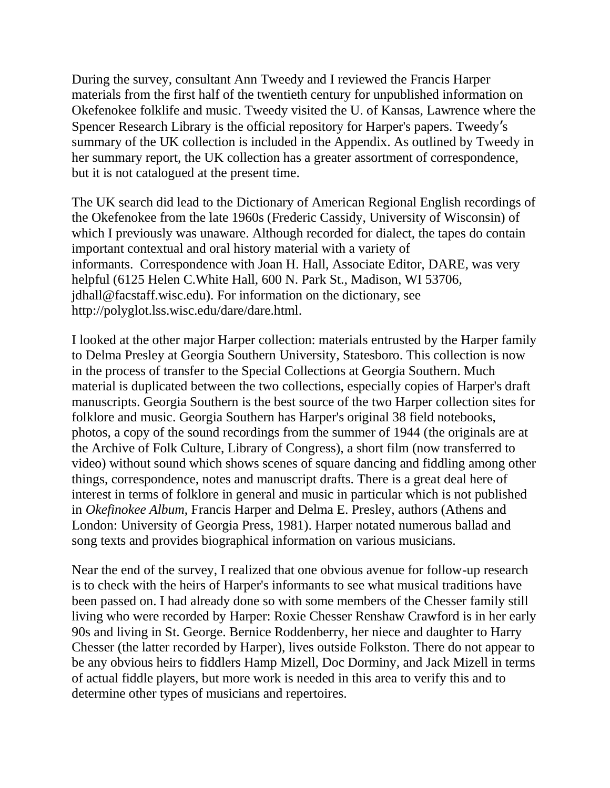During the survey, consultant Ann Tweedy and I reviewed the Francis Harper materials from the first half of the twentieth century for unpublished information on Okefenokee folklife and music. Tweedy visited the U. of Kansas, Lawrence where the Spencer Research Library is the official repository for Harper's papers. Tweedy's summary of the UK collection is included in the Appendix. As outlined by Tweedy in her summary report, the UK collection has a greater assortment of correspondence, but it is not catalogued at the present time.

The UK search did lead to the Dictionary of American Regional English recordings of the Okefenokee from the late 1960s (Frederic Cassidy, University of Wisconsin) of which I previously was unaware. Although recorded for dialect, the tapes do contain important contextual and oral history material with a variety of informants. Correspondence with Joan H. Hall, Associate Editor, DARE, was very helpful (6125 Helen C.White Hall, 600 N. Park St., Madison, WI 53706, jdhall@facstaff.wisc.edu). For information on the dictionary, see http://polyglot.lss.wisc.edu/dare/dare.html.

I looked at the other major Harper collection: materials entrusted by the Harper family to Delma Presley at Georgia Southern University, Statesboro. This collection is now in the process of transfer to the Special Collections at Georgia Southern. Much material is duplicated between the two collections, especially copies of Harper's draft manuscripts. Georgia Southern is the best source of the two Harper collection sites for folklore and music. Georgia Southern has Harper's original 38 field notebooks, photos, a copy of the sound recordings from the summer of 1944 (the originals are at the Archive of Folk Culture, Library of Congress), a short film (now transferred to video) without sound which shows scenes of square dancing and fiddling among other things, correspondence, notes and manuscript drafts. There is a great deal here of interest in terms of folklore in general and music in particular which is not published in *Okefinokee Album*, Francis Harper and Delma E. Presley, authors (Athens and London: University of Georgia Press, 1981). Harper notated numerous ballad and song texts and provides biographical information on various musicians.

Near the end of the survey, I realized that one obvious avenue for follow-up research is to check with the heirs of Harper's informants to see what musical traditions have been passed on. I had already done so with some members of the Chesser family still living who were recorded by Harper: Roxie Chesser Renshaw Crawford is in her early 90s and living in St. George. Bernice Roddenberry, her niece and daughter to Harry Chesser (the latter recorded by Harper), lives outside Folkston. There do not appear to be any obvious heirs to fiddlers Hamp Mizell, Doc Dorminy, and Jack Mizell in terms of actual fiddle players, but more work is needed in this area to verify this and to determine other types of musicians and repertoires.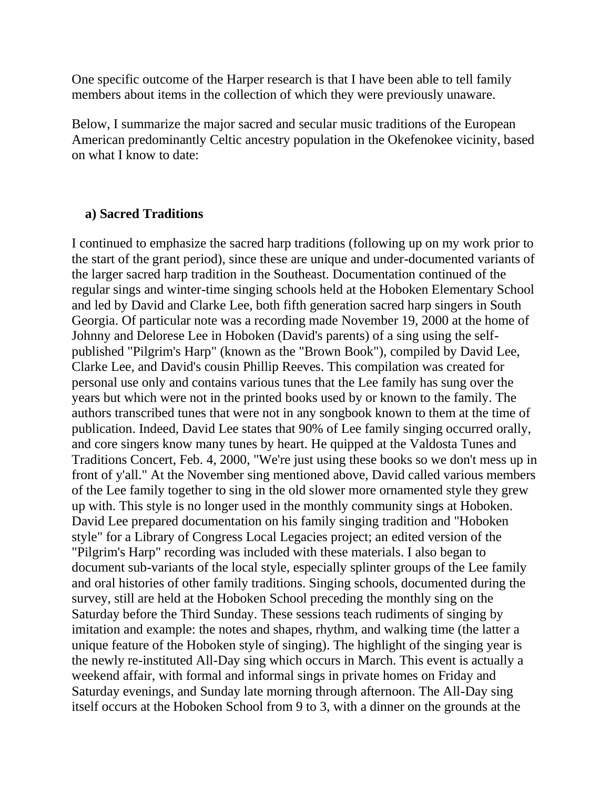One specific outcome of the Harper research is that I have been able to tell family members about items in the collection of which they were previously unaware.

Below, I summarize the major sacred and secular music traditions of the European American predominantly Celtic ancestry population in the Okefenokee vicinity, based on what I know to date:

#### **a) Sacred Traditions**

I continued to emphasize the sacred harp traditions (following up on my work prior to the start of the grant period), since these are unique and under-documented variants of the larger sacred harp tradition in the Southeast. Documentation continued of the regular sings and winter-time singing schools held at the Hoboken Elementary School and led by David and Clarke Lee, both fifth generation sacred harp singers in South Georgia. Of particular note was a recording made November 19, 2000 at the home of Johnny and Delorese Lee in Hoboken (David's parents) of a sing using the selfpublished "Pilgrim's Harp" (known as the "Brown Book"), compiled by David Lee, Clarke Lee, and David's cousin Phillip Reeves. This compilation was created for personal use only and contains various tunes that the Lee family has sung over the years but which were not in the printed books used by or known to the family. The authors transcribed tunes that were not in any songbook known to them at the time of publication. Indeed, David Lee states that 90% of Lee family singing occurred orally, and core singers know many tunes by heart. He quipped at the Valdosta Tunes and Traditions Concert, Feb. 4, 2000, "We're just using these books so we don't mess up in front of y'all." At the November sing mentioned above, David called various members of the Lee family together to sing in the old slower more ornamented style they grew up with. This style is no longer used in the monthly community sings at Hoboken. David Lee prepared documentation on his family singing tradition and "Hoboken style" for a Library of Congress Local Legacies project; an edited version of the "Pilgrim's Harp" recording was included with these materials. I also began to document sub-variants of the local style, especially splinter groups of the Lee family and oral histories of other family traditions. Singing schools, documented during the survey, still are held at the Hoboken School preceding the monthly sing on the Saturday before the Third Sunday. These sessions teach rudiments of singing by imitation and example: the notes and shapes, rhythm, and walking time (the latter a unique feature of the Hoboken style of singing). The highlight of the singing year is the newly re-instituted All-Day sing which occurs in March. This event is actually a weekend affair, with formal and informal sings in private homes on Friday and Saturday evenings, and Sunday late morning through afternoon. The All-Day sing itself occurs at the Hoboken School from 9 to 3, with a dinner on the grounds at the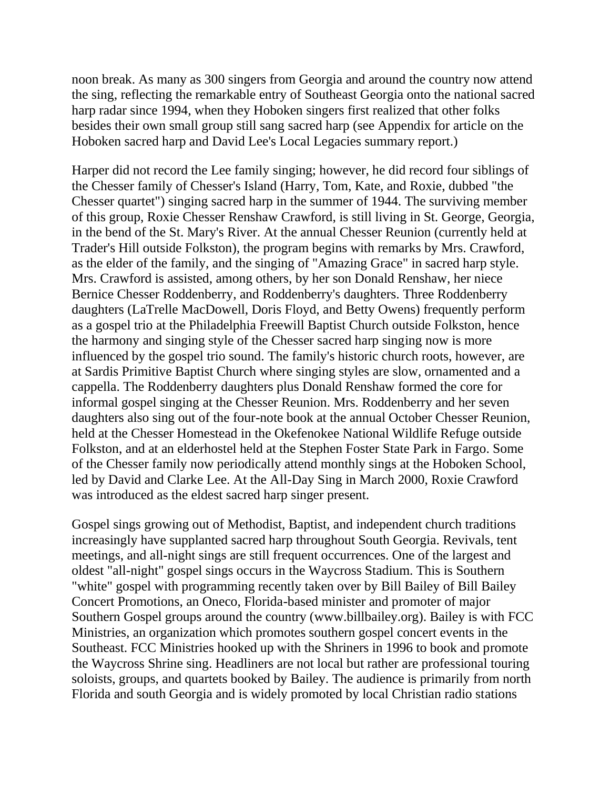noon break. As many as 300 singers from Georgia and around the country now attend the sing, reflecting the remarkable entry of Southeast Georgia onto the national sacred harp radar since 1994, when they Hoboken singers first realized that other folks besides their own small group still sang sacred harp (see Appendix for article on the Hoboken sacred harp and David Lee's Local Legacies summary report.)

Harper did not record the Lee family singing; however, he did record four siblings of the Chesser family of Chesser's Island (Harry, Tom, Kate, and Roxie, dubbed "the Chesser quartet") singing sacred harp in the summer of 1944. The surviving member of this group, Roxie Chesser Renshaw Crawford, is still living in St. George, Georgia, in the bend of the St. Mary's River. At the annual Chesser Reunion (currently held at Trader's Hill outside Folkston), the program begins with remarks by Mrs. Crawford, as the elder of the family, and the singing of "Amazing Grace" in sacred harp style. Mrs. Crawford is assisted, among others, by her son Donald Renshaw, her niece Bernice Chesser Roddenberry, and Roddenberry's daughters. Three Roddenberry daughters (LaTrelle MacDowell, Doris Floyd, and Betty Owens) frequently perform as a gospel trio at the Philadelphia Freewill Baptist Church outside Folkston, hence the harmony and singing style of the Chesser sacred harp singing now is more influenced by the gospel trio sound. The family's historic church roots, however, are at Sardis Primitive Baptist Church where singing styles are slow, ornamented and a cappella. The Roddenberry daughters plus Donald Renshaw formed the core for informal gospel singing at the Chesser Reunion. Mrs. Roddenberry and her seven daughters also sing out of the four-note book at the annual October Chesser Reunion, held at the Chesser Homestead in the Okefenokee National Wildlife Refuge outside Folkston, and at an elderhostel held at the Stephen Foster State Park in Fargo. Some of the Chesser family now periodically attend monthly sings at the Hoboken School, led by David and Clarke Lee. At the All-Day Sing in March 2000, Roxie Crawford was introduced as the eldest sacred harp singer present.

Gospel sings growing out of Methodist, Baptist, and independent church traditions increasingly have supplanted sacred harp throughout South Georgia. Revivals, tent meetings, and all-night sings are still frequent occurrences. One of the largest and oldest "all-night" gospel sings occurs in the Waycross Stadium. This is Southern "white" gospel with programming recently taken over by Bill Bailey of Bill Bailey Concert Promotions, an Oneco, Florida-based minister and promoter of major Southern Gospel groups around the country (www.billbailey.org). Bailey is with FCC Ministries, an organization which promotes southern gospel concert events in the Southeast. FCC Ministries hooked up with the Shriners in 1996 to book and promote the Waycross Shrine sing. Headliners are not local but rather are professional touring soloists, groups, and quartets booked by Bailey. The audience is primarily from north Florida and south Georgia and is widely promoted by local Christian radio stations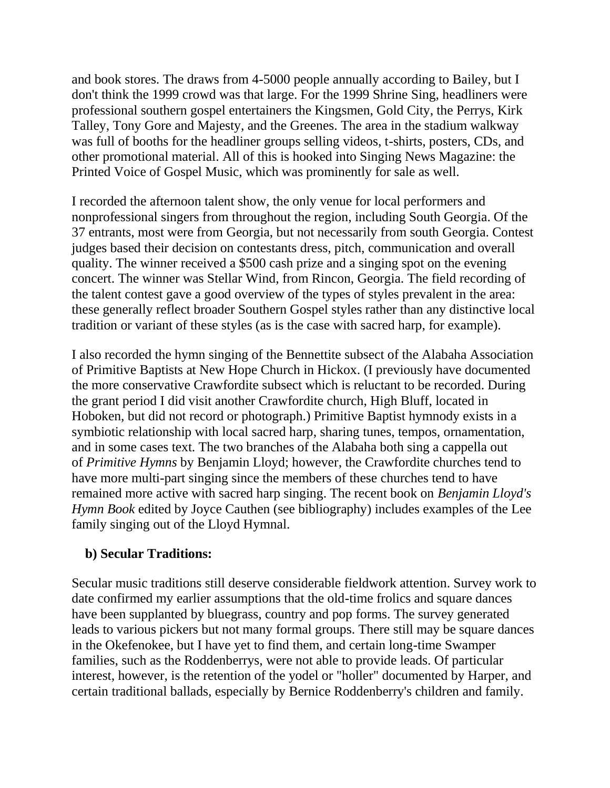and book stores. The draws from 4-5000 people annually according to Bailey, but I don't think the 1999 crowd was that large. For the 1999 Shrine Sing, headliners were professional southern gospel entertainers the Kingsmen, Gold City, the Perrys, Kirk Talley, Tony Gore and Majesty, and the Greenes. The area in the stadium walkway was full of booths for the headliner groups selling videos, t-shirts, posters, CDs, and other promotional material. All of this is hooked into Singing News Magazine: the Printed Voice of Gospel Music, which was prominently for sale as well.

I recorded the afternoon talent show, the only venue for local performers and nonprofessional singers from throughout the region, including South Georgia. Of the 37 entrants, most were from Georgia, but not necessarily from south Georgia. Contest judges based their decision on contestants dress, pitch, communication and overall quality. The winner received a \$500 cash prize and a singing spot on the evening concert. The winner was Stellar Wind, from Rincon, Georgia. The field recording of the talent contest gave a good overview of the types of styles prevalent in the area: these generally reflect broader Southern Gospel styles rather than any distinctive local tradition or variant of these styles (as is the case with sacred harp, for example).

I also recorded the hymn singing of the Bennettite subsect of the Alabaha Association of Primitive Baptists at New Hope Church in Hickox. (I previously have documented the more conservative Crawfordite subsect which is reluctant to be recorded. During the grant period I did visit another Crawfordite church, High Bluff, located in Hoboken, but did not record or photograph.) Primitive Baptist hymnody exists in a symbiotic relationship with local sacred harp, sharing tunes, tempos, ornamentation, and in some cases text. The two branches of the Alabaha both sing a cappella out of *Primitive Hymns* by Benjamin Lloyd; however, the Crawfordite churches tend to have more multi-part singing since the members of these churches tend to have remained more active with sacred harp singing. The recent book on *Benjamin Lloyd's Hymn Book* edited by Joyce Cauthen (see bibliography) includes examples of the Lee family singing out of the Lloyd Hymnal.

## **b) Secular Traditions:**

Secular music traditions still deserve considerable fieldwork attention. Survey work to date confirmed my earlier assumptions that the old-time frolics and square dances have been supplanted by bluegrass, country and pop forms. The survey generated leads to various pickers but not many formal groups. There still may be square dances in the Okefenokee, but I have yet to find them, and certain long-time Swamper families, such as the Roddenberrys, were not able to provide leads. Of particular interest, however, is the retention of the yodel or "holler" documented by Harper, and certain traditional ballads, especially by Bernice Roddenberry's children and family.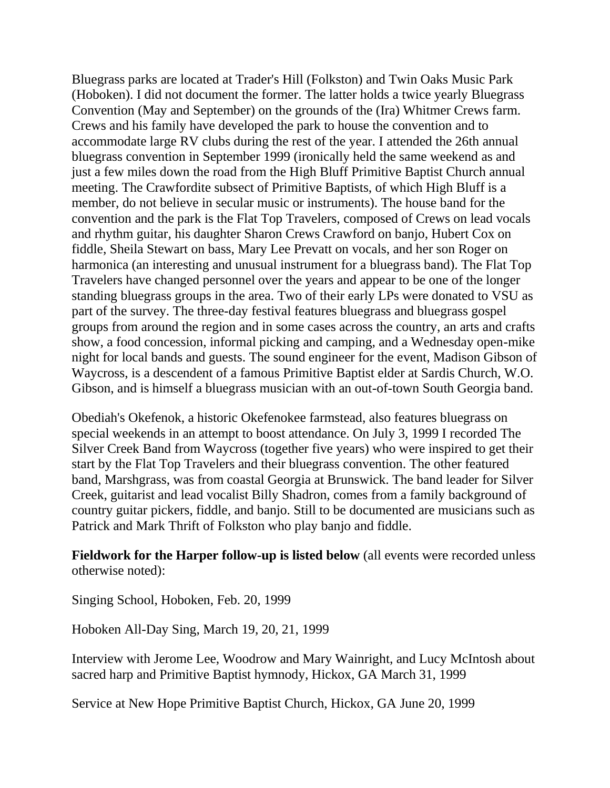Bluegrass parks are located at Trader's Hill (Folkston) and Twin Oaks Music Park (Hoboken). I did not document the former. The latter holds a twice yearly Bluegrass Convention (May and September) on the grounds of the (Ira) Whitmer Crews farm. Crews and his family have developed the park to house the convention and to accommodate large RV clubs during the rest of the year. I attended the 26th annual bluegrass convention in September 1999 (ironically held the same weekend as and just a few miles down the road from the High Bluff Primitive Baptist Church annual meeting. The Crawfordite subsect of Primitive Baptists, of which High Bluff is a member, do not believe in secular music or instruments). The house band for the convention and the park is the Flat Top Travelers, composed of Crews on lead vocals and rhythm guitar, his daughter Sharon Crews Crawford on banjo, Hubert Cox on fiddle, Sheila Stewart on bass, Mary Lee Prevatt on vocals, and her son Roger on harmonica (an interesting and unusual instrument for a bluegrass band). The Flat Top Travelers have changed personnel over the years and appear to be one of the longer standing bluegrass groups in the area. Two of their early LPs were donated to VSU as part of the survey. The three-day festival features bluegrass and bluegrass gospel groups from around the region and in some cases across the country, an arts and crafts show, a food concession, informal picking and camping, and a Wednesday open-mike night for local bands and guests. The sound engineer for the event, Madison Gibson of Waycross, is a descendent of a famous Primitive Baptist elder at Sardis Church, W.O. Gibson, and is himself a bluegrass musician with an out-of-town South Georgia band.

Obediah's Okefenok, a historic Okefenokee farmstead, also features bluegrass on special weekends in an attempt to boost attendance. On July 3, 1999 I recorded The Silver Creek Band from Waycross (together five years) who were inspired to get their start by the Flat Top Travelers and their bluegrass convention. The other featured band, Marshgrass, was from coastal Georgia at Brunswick. The band leader for Silver Creek, guitarist and lead vocalist Billy Shadron, comes from a family background of country guitar pickers, fiddle, and banjo. Still to be documented are musicians such as Patrick and Mark Thrift of Folkston who play banjo and fiddle.

**Fieldwork for the Harper follow-up is listed below** (all events were recorded unless otherwise noted):

Singing School, Hoboken, Feb. 20, 1999

Hoboken All-Day Sing, March 19, 20, 21, 1999

Interview with Jerome Lee, Woodrow and Mary Wainright, and Lucy McIntosh about sacred harp and Primitive Baptist hymnody, Hickox, GA March 31, 1999

Service at New Hope Primitive Baptist Church, Hickox, GA June 20, 1999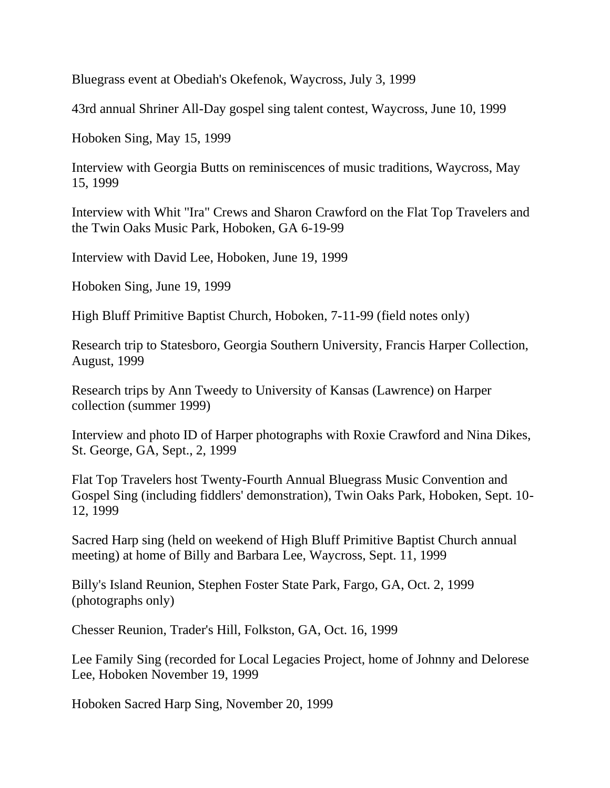Bluegrass event at Obediah's Okefenok, Waycross, July 3, 1999

43rd annual Shriner All-Day gospel sing talent contest, Waycross, June 10, 1999

Hoboken Sing, May 15, 1999

Interview with Georgia Butts on reminiscences of music traditions, Waycross, May 15, 1999

Interview with Whit "Ira" Crews and Sharon Crawford on the Flat Top Travelers and the Twin Oaks Music Park, Hoboken, GA 6-19-99

Interview with David Lee, Hoboken, June 19, 1999

Hoboken Sing, June 19, 1999

High Bluff Primitive Baptist Church, Hoboken, 7-11-99 (field notes only)

Research trip to Statesboro, Georgia Southern University, Francis Harper Collection, August, 1999

Research trips by Ann Tweedy to University of Kansas (Lawrence) on Harper collection (summer 1999)

Interview and photo ID of Harper photographs with Roxie Crawford and Nina Dikes, St. George, GA, Sept., 2, 1999

Flat Top Travelers host Twenty-Fourth Annual Bluegrass Music Convention and Gospel Sing (including fiddlers' demonstration), Twin Oaks Park, Hoboken, Sept. 10- 12, 1999

Sacred Harp sing (held on weekend of High Bluff Primitive Baptist Church annual meeting) at home of Billy and Barbara Lee, Waycross, Sept. 11, 1999

Billy's Island Reunion, Stephen Foster State Park, Fargo, GA, Oct. 2, 1999 (photographs only)

Chesser Reunion, Trader's Hill, Folkston, GA, Oct. 16, 1999

Lee Family Sing (recorded for Local Legacies Project, home of Johnny and Delorese Lee, Hoboken November 19, 1999

Hoboken Sacred Harp Sing, November 20, 1999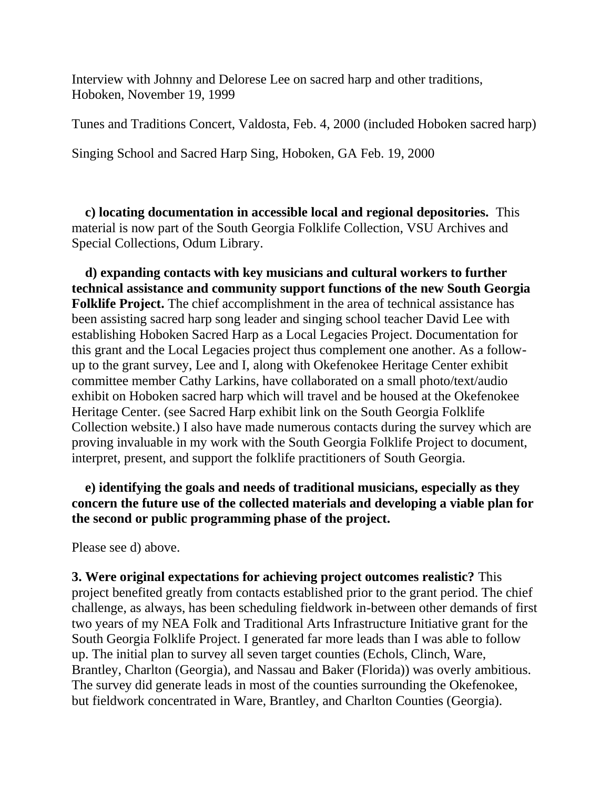Interview with Johnny and Delorese Lee on sacred harp and other traditions, Hoboken, November 19, 1999

Tunes and Traditions Concert, Valdosta, Feb. 4, 2000 (included Hoboken sacred harp)

Singing School and Sacred Harp Sing, Hoboken, GA Feb. 19, 2000

 **c) locating documentation in accessible local and regional depositories.** This material is now part of the South Georgia Folklife Collection, VSU Archives and Special Collections, Odum Library.

 **d) expanding contacts with key musicians and cultural workers to further technical assistance and community support functions of the new South Georgia Folklife Project.** The chief accomplishment in the area of technical assistance has been assisting sacred harp song leader and singing school teacher David Lee with establishing Hoboken Sacred Harp as a Local Legacies Project. Documentation for this grant and the Local Legacies project thus complement one another. As a followup to the grant survey, Lee and I, along with Okefenokee Heritage Center exhibit committee member Cathy Larkins, have collaborated on a small photo/text/audio exhibit on Hoboken sacred harp which will travel and be housed at the Okefenokee Heritage Center. (see Sacred Harp exhibit link on the South Georgia Folklife Collection website.) I also have made numerous contacts during the survey which are proving invaluable in my work with the South Georgia Folklife Project to document, interpret, present, and support the folklife practitioners of South Georgia.

 **e) identifying the goals and needs of traditional musicians, especially as they concern the future use of the collected materials and developing a viable plan for the second or public programming phase of the project.**

Please see d) above.

**3. Were original expectations for achieving project outcomes realistic?** This project benefited greatly from contacts established prior to the grant period. The chief challenge, as always, has been scheduling fieldwork in-between other demands of first two years of my NEA Folk and Traditional Arts Infrastructure Initiative grant for the South Georgia Folklife Project. I generated far more leads than I was able to follow up. The initial plan to survey all seven target counties (Echols, Clinch, Ware, Brantley, Charlton (Georgia), and Nassau and Baker (Florida)) was overly ambitious. The survey did generate leads in most of the counties surrounding the Okefenokee, but fieldwork concentrated in Ware, Brantley, and Charlton Counties (Georgia).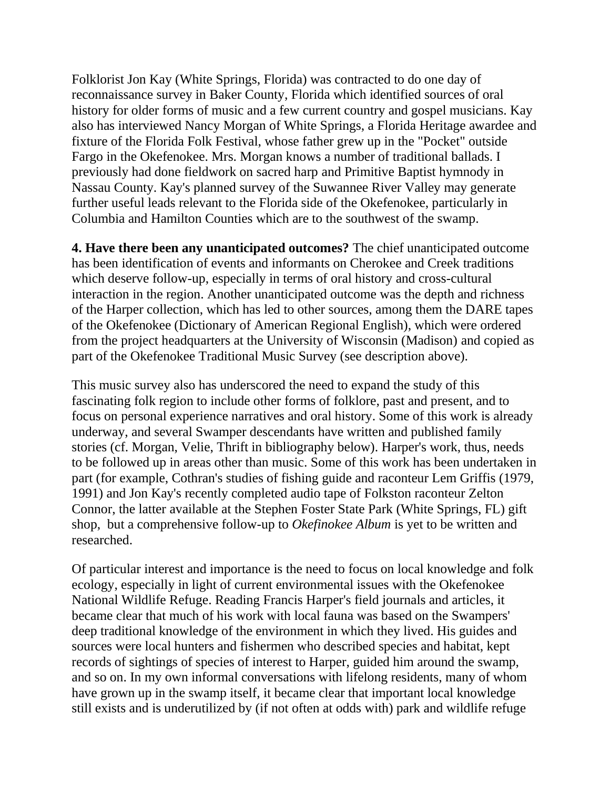Folklorist Jon Kay (White Springs, Florida) was contracted to do one day of reconnaissance survey in Baker County, Florida which identified sources of oral history for older forms of music and a few current country and gospel musicians. Kay also has interviewed Nancy Morgan of White Springs, a Florida Heritage awardee and fixture of the Florida Folk Festival, whose father grew up in the "Pocket" outside Fargo in the Okefenokee. Mrs. Morgan knows a number of traditional ballads. I previously had done fieldwork on sacred harp and Primitive Baptist hymnody in Nassau County. Kay's planned survey of the Suwannee River Valley may generate further useful leads relevant to the Florida side of the Okefenokee, particularly in Columbia and Hamilton Counties which are to the southwest of the swamp.

**4. Have there been any unanticipated outcomes?** The chief unanticipated outcome has been identification of events and informants on Cherokee and Creek traditions which deserve follow-up, especially in terms of oral history and cross-cultural interaction in the region. Another unanticipated outcome was the depth and richness of the Harper collection, which has led to other sources, among them the DARE tapes of the Okefenokee (Dictionary of American Regional English), which were ordered from the project headquarters at the University of Wisconsin (Madison) and copied as part of the Okefenokee Traditional Music Survey (see description above).

This music survey also has underscored the need to expand the study of this fascinating folk region to include other forms of folklore, past and present, and to focus on personal experience narratives and oral history. Some of this work is already underway, and several Swamper descendants have written and published family stories (cf. Morgan, Velie, Thrift in bibliography below). Harper's work, thus, needs to be followed up in areas other than music. Some of this work has been undertaken in part (for example, Cothran's studies of fishing guide and raconteur Lem Griffis (1979, 1991) and Jon Kay's recently completed audio tape of Folkston raconteur Zelton Connor, the latter available at the Stephen Foster State Park (White Springs, FL) gift shop, but a comprehensive follow-up to *Okefinokee Album* is yet to be written and researched.

Of particular interest and importance is the need to focus on local knowledge and folk ecology, especially in light of current environmental issues with the Okefenokee National Wildlife Refuge. Reading Francis Harper's field journals and articles, it became clear that much of his work with local fauna was based on the Swampers' deep traditional knowledge of the environment in which they lived. His guides and sources were local hunters and fishermen who described species and habitat, kept records of sightings of species of interest to Harper, guided him around the swamp, and so on. In my own informal conversations with lifelong residents, many of whom have grown up in the swamp itself, it became clear that important local knowledge still exists and is underutilized by (if not often at odds with) park and wildlife refuge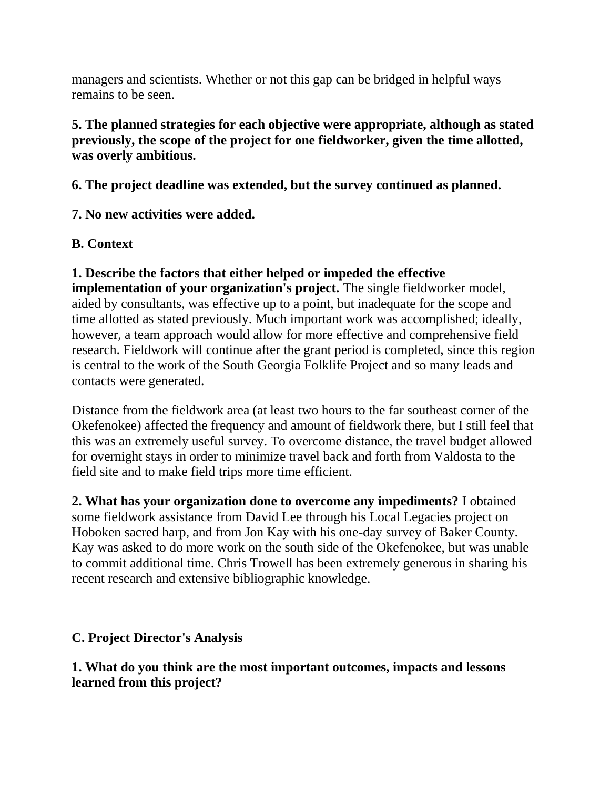managers and scientists. Whether or not this gap can be bridged in helpful ways remains to be seen.

## **5. The planned strategies for each objective were appropriate, although as stated previously, the scope of the project for one fieldworker, given the time allotted, was overly ambitious.**

**6. The project deadline was extended, but the survey continued as planned.**

**7. No new activities were added.**

# **B. Context**

**1. Describe the factors that either helped or impeded the effective implementation of your organization's project.** The single fieldworker model, aided by consultants, was effective up to a point, but inadequate for the scope and time allotted as stated previously. Much important work was accomplished; ideally, however, a team approach would allow for more effective and comprehensive field research. Fieldwork will continue after the grant period is completed, since this region is central to the work of the South Georgia Folklife Project and so many leads and contacts were generated.

Distance from the fieldwork area (at least two hours to the far southeast corner of the Okefenokee) affected the frequency and amount of fieldwork there, but I still feel that this was an extremely useful survey. To overcome distance, the travel budget allowed for overnight stays in order to minimize travel back and forth from Valdosta to the field site and to make field trips more time efficient.

**2. What has your organization done to overcome any impediments?** I obtained some fieldwork assistance from David Lee through his Local Legacies project on Hoboken sacred harp, and from Jon Kay with his one-day survey of Baker County. Kay was asked to do more work on the south side of the Okefenokee, but was unable to commit additional time. Chris Trowell has been extremely generous in sharing his recent research and extensive bibliographic knowledge.

# **C. Project Director's Analysis**

## **1. What do you think are the most important outcomes, impacts and lessons learned from this project?**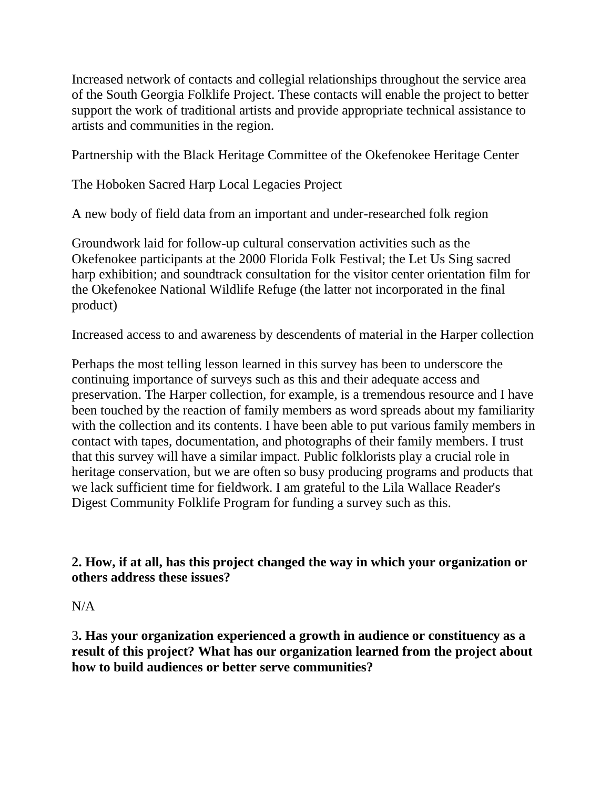Increased network of contacts and collegial relationships throughout the service area of the South Georgia Folklife Project. These contacts will enable the project to better support the work of traditional artists and provide appropriate technical assistance to artists and communities in the region.

Partnership with the Black Heritage Committee of the Okefenokee Heritage Center

The Hoboken Sacred Harp Local Legacies Project

A new body of field data from an important and under-researched folk region

Groundwork laid for follow-up cultural conservation activities such as the Okefenokee participants at the 2000 Florida Folk Festival; the Let Us Sing sacred harp exhibition; and soundtrack consultation for the visitor center orientation film for the Okefenokee National Wildlife Refuge (the latter not incorporated in the final product)

Increased access to and awareness by descendents of material in the Harper collection

Perhaps the most telling lesson learned in this survey has been to underscore the continuing importance of surveys such as this and their adequate access and preservation. The Harper collection, for example, is a tremendous resource and I have been touched by the reaction of family members as word spreads about my familiarity with the collection and its contents. I have been able to put various family members in contact with tapes, documentation, and photographs of their family members. I trust that this survey will have a similar impact. Public folklorists play a crucial role in heritage conservation, but we are often so busy producing programs and products that we lack sufficient time for fieldwork. I am grateful to the Lila Wallace Reader's Digest Community Folklife Program for funding a survey such as this.

**2. How, if at all, has this project changed the way in which your organization or others address these issues?**

 $N/A$ 

3**. Has your organization experienced a growth in audience or constituency as a result of this project? What has our organization learned from the project about how to build audiences or better serve communities?**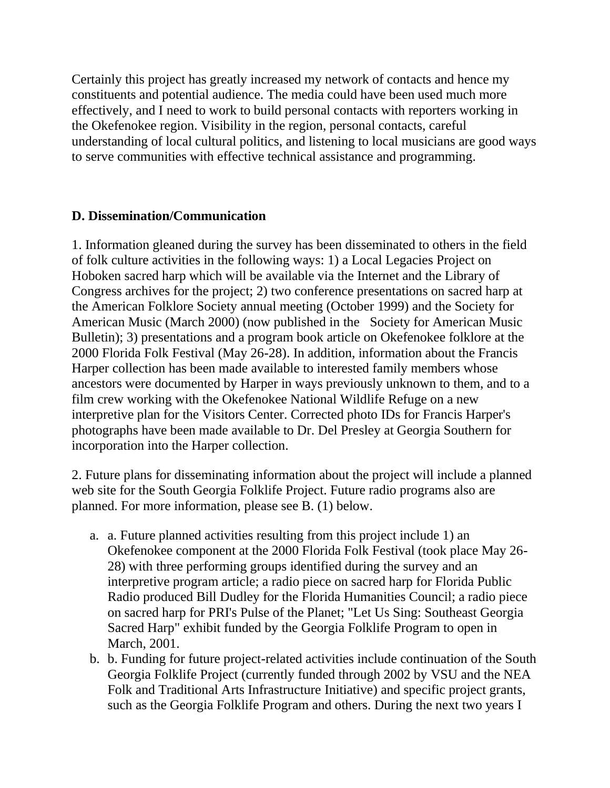Certainly this project has greatly increased my network of contacts and hence my constituents and potential audience. The media could have been used much more effectively, and I need to work to build personal contacts with reporters working in the Okefenokee region. Visibility in the region, personal contacts, careful understanding of local cultural politics, and listening to local musicians are good ways to serve communities with effective technical assistance and programming.

## **D. Dissemination/Communication**

1. Information gleaned during the survey has been disseminated to others in the field of folk culture activities in the following ways: 1) a Local Legacies Project on Hoboken sacred harp which will be available via the Internet and the Library of Congress archives for the project; 2) two conference presentations on sacred harp at the American Folklore Society annual meeting (October 1999) and the Society for American Music (March 2000) (now published in the Society for American Music Bulletin); 3) presentations and a program book article on Okefenokee folklore at the 2000 Florida Folk Festival (May 26-28). In addition, information about the Francis Harper collection has been made available to interested family members whose ancestors were documented by Harper in ways previously unknown to them, and to a film crew working with the Okefenokee National Wildlife Refuge on a new interpretive plan for the Visitors Center. Corrected photo IDs for Francis Harper's photographs have been made available to Dr. Del Presley at Georgia Southern for incorporation into the Harper collection.

2. Future plans for disseminating information about the project will include a planned web site for the South Georgia Folklife Project. Future radio programs also are planned. For more information, please see B. (1) below.

- a. a. Future planned activities resulting from this project include 1) an Okefenokee component at the 2000 Florida Folk Festival (took place May 26- 28) with three performing groups identified during the survey and an interpretive program article; a radio piece on sacred harp for Florida Public Radio produced Bill Dudley for the Florida Humanities Council; a radio piece on sacred harp for PRI's Pulse of the Planet; "Let Us Sing: Southeast Georgia Sacred Harp" exhibit funded by the Georgia Folklife Program to open in March, 2001.
- b. b. Funding for future project-related activities include continuation of the South Georgia Folklife Project (currently funded through 2002 by VSU and the NEA Folk and Traditional Arts Infrastructure Initiative) and specific project grants, such as the Georgia Folklife Program and others. During the next two years I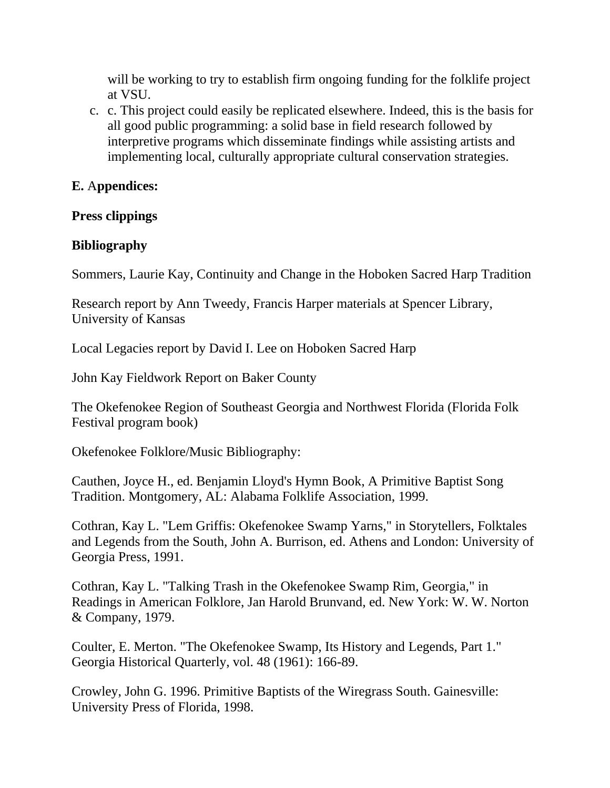will be working to try to establish firm ongoing funding for the folklife project at VSU.

c. c. This project could easily be replicated elsewhere. Indeed, this is the basis for all good public programming: a solid base in field research followed by interpretive programs which disseminate findings while assisting artists and implementing local, culturally appropriate cultural conservation strategies.

#### **E.** A**ppendices:**

#### **Press clippings**

#### **Bibliography**

Sommers, Laurie Kay, Continuity and Change in the Hoboken Sacred Harp Tradition

Research report by Ann Tweedy, Francis Harper materials at Spencer Library, University of Kansas

Local Legacies report by David I. Lee on Hoboken Sacred Harp

John Kay Fieldwork Report on Baker County

The Okefenokee Region of Southeast Georgia and Northwest Florida (Florida Folk Festival program book)

Okefenokee Folklore/Music Bibliography:

Cauthen, Joyce H., ed. Benjamin Lloyd's Hymn Book, A Primitive Baptist Song Tradition. Montgomery, AL: Alabama Folklife Association, 1999.

Cothran, Kay L. "Lem Griffis: Okefenokee Swamp Yarns," in Storytellers, Folktales and Legends from the South, John A. Burrison, ed. Athens and London: University of Georgia Press, 1991.

Cothran, Kay L. "Talking Trash in the Okefenokee Swamp Rim, Georgia," in Readings in American Folklore, Jan Harold Brunvand, ed. New York: W. W. Norton & Company, 1979.

Coulter, E. Merton. "The Okefenokee Swamp, Its History and Legends, Part 1." Georgia Historical Quarterly, vol. 48 (1961): 166-89.

Crowley, John G. 1996. Primitive Baptists of the Wiregrass South. Gainesville: University Press of Florida, 1998.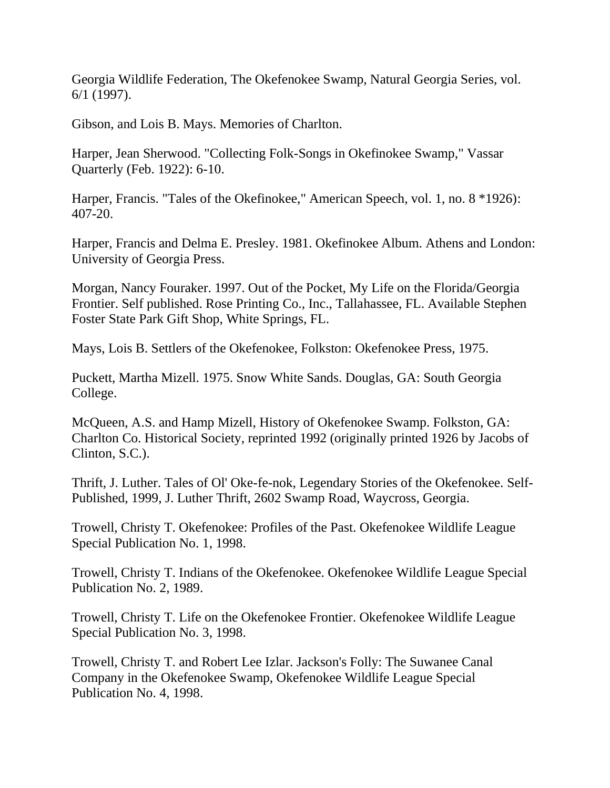Georgia Wildlife Federation, The Okefenokee Swamp, Natural Georgia Series, vol. 6/1 (1997).

Gibson, and Lois B. Mays. Memories of Charlton.

Harper, Jean Sherwood. "Collecting Folk-Songs in Okefinokee Swamp," Vassar Quarterly (Feb. 1922): 6-10.

Harper, Francis. "Tales of the Okefinokee," American Speech, vol. 1, no. 8 \*1926): 407-20.

Harper, Francis and Delma E. Presley. 1981. Okefinokee Album. Athens and London: University of Georgia Press.

Morgan, Nancy Fouraker. 1997. Out of the Pocket, My Life on the Florida/Georgia Frontier. Self published. Rose Printing Co., Inc., Tallahassee, FL. Available Stephen Foster State Park Gift Shop, White Springs, FL.

Mays, Lois B. Settlers of the Okefenokee, Folkston: Okefenokee Press, 1975.

Puckett, Martha Mizell. 1975. Snow White Sands. Douglas, GA: South Georgia College.

McQueen, A.S. and Hamp Mizell, History of Okefenokee Swamp. Folkston, GA: Charlton Co. Historical Society, reprinted 1992 (originally printed 1926 by Jacobs of Clinton, S.C.).

Thrift, J. Luther. Tales of Ol' Oke-fe-nok, Legendary Stories of the Okefenokee. Self-Published, 1999, J. Luther Thrift, 2602 Swamp Road, Waycross, Georgia.

Trowell, Christy T. Okefenokee: Profiles of the Past. Okefenokee Wildlife League Special Publication No. 1, 1998.

Trowell, Christy T. Indians of the Okefenokee. Okefenokee Wildlife League Special Publication No. 2, 1989.

Trowell, Christy T. Life on the Okefenokee Frontier. Okefenokee Wildlife League Special Publication No. 3, 1998.

Trowell, Christy T. and Robert Lee Izlar. Jackson's Folly: The Suwanee Canal Company in the Okefenokee Swamp, Okefenokee Wildlife League Special Publication No. 4, 1998.